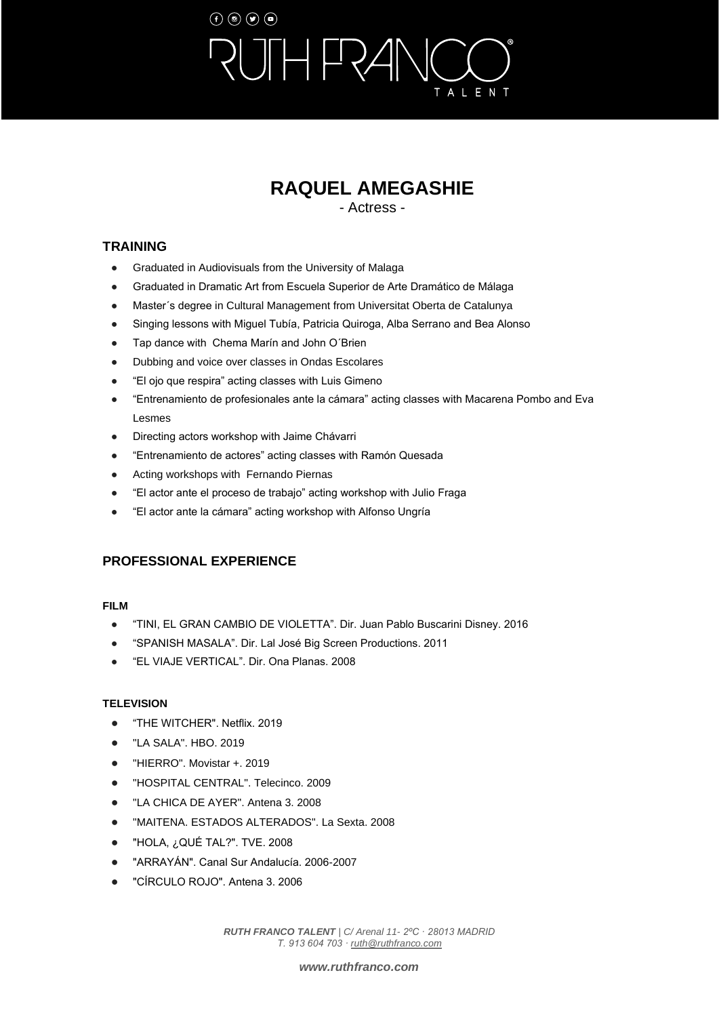# $\left(\mathbf{f}\right)\left(\mathbf{0}\right)\left(\mathbf{g}\right)\left(\mathbf{0}\right)$  $\Box$ ALENT

## **RAQUEL AMEGASHIE**

- Actress -

### **TRAINING**

- Graduated in Audiovisuals from the University of Malaga
- Graduated in Dramatic Art from Escuela Superior de Arte Dramático de Málaga
- Master´s degree in Cultural Management from Universitat Oberta de Catalunya
- Singing lessons with Miguel Tubía, Patricia Quiroga, Alba Serrano and Bea Alonso
- Tap dance with Chema Marín and John O'Brien
- Dubbing and voice over classes in Ondas Escolares
- "El ojo que respira" acting classes with Luis Gimeno
- "Entrenamiento de profesionales ante la cámara" acting classes with Macarena Pombo and Eva Lesmes
- Directing actors workshop with Jaime Chávarri
- "Entrenamiento de actores" acting classes with Ramón Quesada
- Acting workshops with Fernando Piernas
- "El actor ante el proceso de trabajo" acting workshop with Julio Fraga
- "El actor ante la cámara" acting workshop with Alfonso Ungría

### **PROFESSIONAL EXPERIENCE**

### **FILM**

- "TINI, EL GRAN CAMBIO DE VIOLETTA". Dir. Juan Pablo Buscarini Disney. 2016
- "SPANISH MASALA". Dir. Lal José Big Screen Productions. 2011
- "EL VIAJE VERTICAL". Dir. Ona Planas. 2008

### **TELEVISION**

- "THE WITCHER". Netflix. 2019
- "LA SALA". HBO. 2019
- "HIERRO". Movistar +. 2019
- "HOSPITAL CENTRAL". Telecinco. 2009
- "LA CHICA DE AYER". Antena 3. 2008
- "MAITENA. ESTADOS ALTERADOS". La Sexta. 2008
- "HOLA, ¿QUÉ TAL?". TVE. 2008
- "ARRAYÁN". Canal Sur Andalucía. 2006-2007
- "CÍRCULO ROJO". Antena 3. 2006

*RUTH FRANCO TALENT | C/ Arenal 11- 2ºC · 28013 MADRID T. 913 604 703 [· ruth@ruthfranco.com](about:blank)*

### *[www.ruthfranco.com](about:blank)*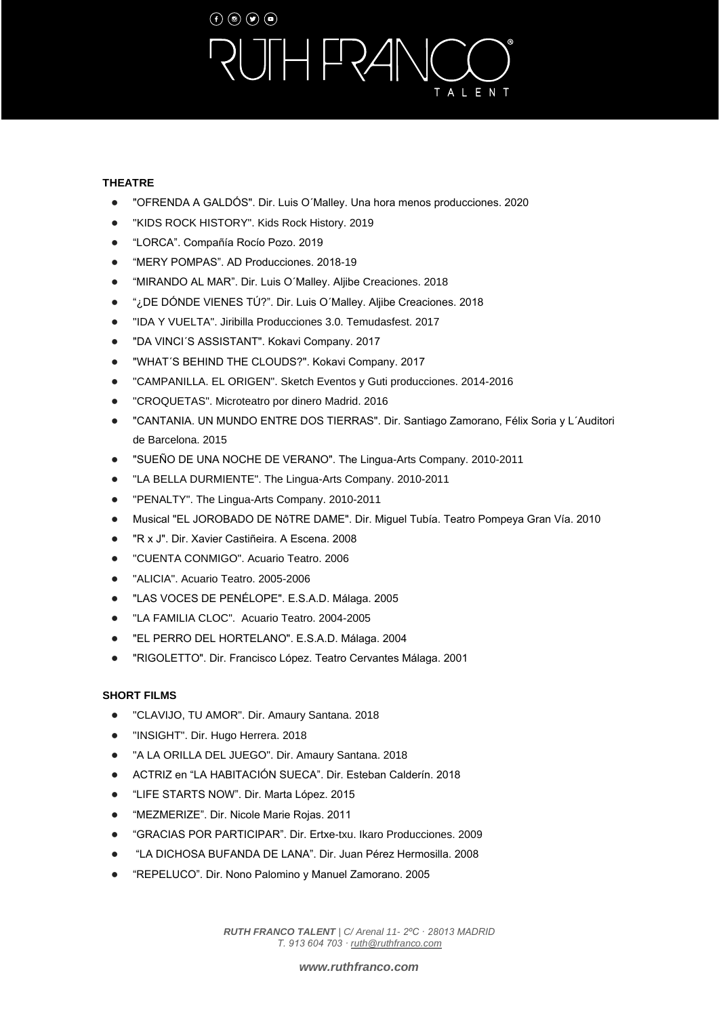# $\left(\mathbf{f}\right)\left(\mathbf{0}\right)\left(\mathbf{g}\right)\left(\mathbf{0}\right)$  $H$ FR $A$ ALENT

### **THEATRE**

- "OFRENDA A GALDÓS". Dir. Luis O'Malley. Una hora menos producciones. 2020
- "KIDS ROCK HISTORY". Kids Rock History. 2019
- "LORCA". Compañía Rocío Pozo. 2019
- "MERY POMPAS". AD Producciones. 2018-19
- "MIRANDO AL MAR". Dir. Luis O´Malley. Aljibe Creaciones. 2018
- "¿DE DÓNDE VIENES TÚ?". Dir. Luis O'Malley. Aljibe Creaciones. 2018
- "IDA Y VUELTA". Jiribilla Producciones 3.0. Temudasfest. 2017
- "DA VINCI'S ASSISTANT". Kokavi Company. 2017
- "WHAT´S BEHIND THE CLOUDS?". Kokavi Company. 2017
- "CAMPANILLA. EL ORIGEN". Sketch Eventos y Guti producciones. 2014-2016
- "CROQUETAS". Microteatro por dinero Madrid. 2016
- "CANTANIA. UN MUNDO ENTRE DOS TIERRAS". Dir. Santiago Zamorano, Félix Soria y L´Auditori de Barcelona. 2015
- "SUEÑO DE UNA NOCHE DE VERANO". The Lingua-Arts Company. 2010-2011
- "LA BELLA DURMIENTE". The Lingua-Arts Company. 2010-2011
- "PENALTY". The Lingua-Arts Company. 2010-2011
- Musical "EL JOROBADO DE NôTRE DAME". Dir. Miguel Tubía. Teatro Pompeya Gran Vía. 2010
- "R x J". Dir. Xavier Castiñeira. A Escena. 2008
- "CUENTA CONMIGO". Acuario Teatro. 2006
- "ALICIA". Acuario Teatro. 2005-2006
- "LAS VOCES DE PENÉLOPE". E.S.A.D. Málaga. 2005
- "LA FAMILIA CLOC". Acuario Teatro. 2004-2005
- "EL PERRO DEL HORTELANO". E.S.A.D. Málaga. 2004
- "RIGOLETTO". Dir. Francisco López. Teatro Cervantes Málaga. 2001

### **SHORT FILMS**

- "CLAVIJO, TU AMOR". Dir. Amaury Santana. 2018
- "INSIGHT". Dir. Hugo Herrera. 2018
- "A LA ORILLA DEL JUEGO". Dir. Amaury Santana. 2018
- ACTRIZ en "LA HABITACIÓN SUECA". Dir. Esteban Calderín. 2018
- "LIFE STARTS NOW". Dir. Marta López. 2015
- "MEZMERIZE". Dir. Nicole Marie Rojas. 2011
- "GRACIAS POR PARTICIPAR". Dir. Ertxe-txu. Ikaro Producciones. 2009
- "LA DICHOSA BUFANDA DE LANA". Dir. Juan Pérez Hermosilla. 2008
- "REPELUCO". Dir. Nono Palomino y Manuel Zamorano. 2005

*RUTH FRANCO TALENT | C/ Arenal 11- 2ºC · 28013 MADRID T. 913 604 703 [· ruth@ruthfranco.com](about:blank)*

*[www.ruthfranco.com](about:blank)*